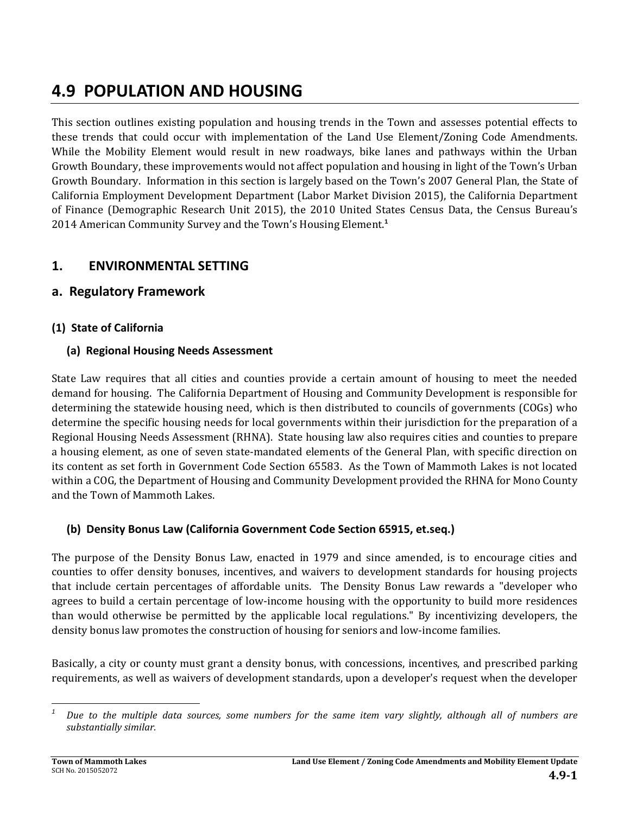# **4.9 POPULATION AND HOUSING**

This section outlines existing population and housing trends in the Town and assesses potential effects to these trends that could occur with implementation of the Land Use Element/Zoning Code Amendments. While the Mobility Element would result in new roadways, bike lanes and pathways within the Urban Growth Boundary, these improvements would not affect population and housing in light of the Town's Urban Growth Boundary. Information in this section is largely based on the Town's 2007 General Plan, the State of California Employment Development Department (Labor Market Division 2015), the California Department of Finance (Demographic Research Unit 2015), the 2010 United States Census Data, the Census Bureau's 2014 American Community Survey and the Town's Housing Element.**<sup>1</sup>** 

### **1. ENVIRONMENTAL SETTING**

### **a. Regulatory Framework**

### **(1) State of California**

### **(a) Regional Housing Needs Assessment**

State Law requires that all cities and counties provide a certain amount of housing to meet the needed demand for housing. The California Department of Housing and Community Development is responsible for determining the statewide housing need, which is then distributed to councils of governments (COGs) who determine the specific housing needs for local governments within their jurisdiction for the preparation of a Regional Housing Needs Assessment (RHNA). State housing law also requires cities and counties to prepare a housing element, as one of seven state-mandated elements of the General Plan, with specific direction on its content as set forth in Government Code Section 65583. As the Town of Mammoth Lakes is not located within a COG, the Department of Housing and Community Development provided the RHNA for Mono County and the Town of Mammoth Lakes.

### **(b) Density Bonus Law (California Government Code Section 65915, et.seq.)**

The purpose of the Density Bonus Law, enacted in 1979 and since amended, is to encourage cities and counties to offer density bonuses, incentives, and waivers to development standards for housing projects that include certain percentages of affordable units. The Density Bonus Law rewards a "developer who agrees to build a certain percentage of low-income housing with the opportunity to build more residences than would otherwise be permitted by the applicable local regulations." By incentivizing developers, the density bonus law promotes the construction of housing for seniors and low-income families.

Basically, a city or county must grant a density bonus, with concessions, incentives, and prescribed parking requirements, as well as waivers of development standards, upon a developer's request when the developer

 Due to the multiple data sources, some numbers for the same item vary slightly, although all of numbers are *substantially similar.*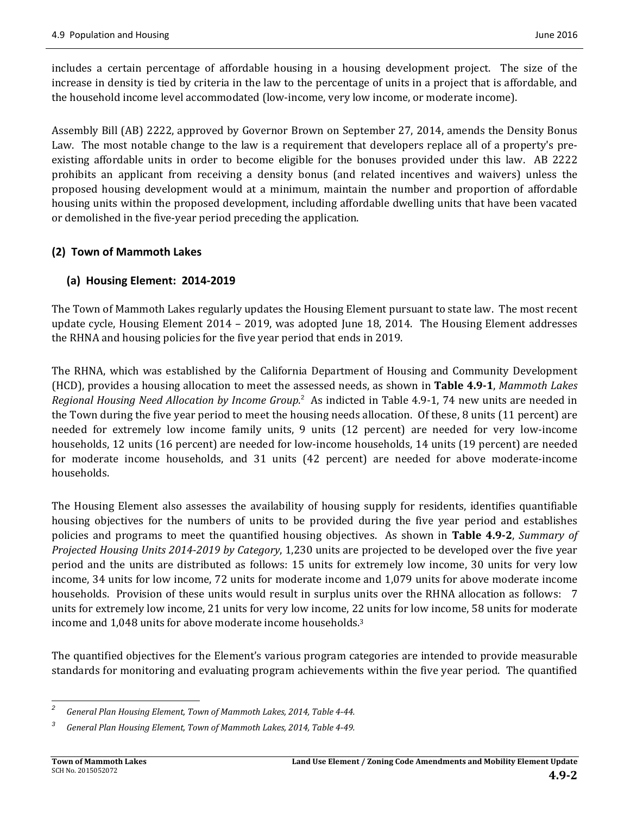includes a certain percentage of affordable housing in a housing development project. The size of the increase in density is tied by criteria in the law to the percentage of units in a project that is affordable, and the household income level accommodated (low-income, very low income, or moderate income).

Assembly Bill (AB) 2222, approved by Governor Brown on September 27, 2014, amends the Density Bonus Law. The most notable change to the law is a requirement that developers replace all of a property's preexisting affordable units in order to become eligible for the bonuses provided under this law. AB 2222 prohibits an applicant from receiving a density bonus (and related incentives and waivers) unless the proposed housing development would at a minimum, maintain the number and proportion of affordable housing units within the proposed development, including affordable dwelling units that have been vacated or demolished in the five-year period preceding the application.

### **(2) Town of Mammoth Lakes**

### **(a) Housing Element: 2014‐2019**

The Town of Mammoth Lakes regularly updates the Housing Element pursuant to state law. The most recent update cycle, Housing Element  $2014 - 2019$ , was adopted June 18, 2014. The Housing Element addresses the RHNA and housing policies for the five year period that ends in 2019.

The RHNA, which was established by the California Department of Housing and Community Development (HCD), provides a housing allocation to meet the assessed needs, as shown in **Table 4.9‐1**, *Mammoth Lakes Regional Housing Need Allocation by Income Group.*<sup>2</sup> As indicted in Table 4.9-1, 74 new units are needed in the Town during the five year period to meet the housing needs allocation. Of these, 8 units  $(11$  percent) are needed for extremely low income family units, 9 units (12 percent) are needed for very low-income households, 12 units (16 percent) are needed for low-income households, 14 units (19 percent) are needed for moderate income households, and 31 units (42 percent) are needed for above moderate-income households. 

The Housing Element also assesses the availability of housing supply for residents, identifies quantifiable housing objectives for the numbers of units to be provided during the five year period and establishes policies and programs to meet the quantified housing objectives. As shown in **Table 4.9‐2**, *Summary of Projected Housing Units* 2014-2019 *by Category*, 1,230 units are projected to be developed over the five year period and the units are distributed as follows: 15 units for extremely low income, 30 units for very low income, 34 units for low income, 72 units for moderate income and 1,079 units for above moderate income households. Provision of these units would result in surplus units over the RHNA allocation as follows: 7 units for extremely low income, 21 units for very low income, 22 units for low income, 58 units for moderate income and 1,048 units for above moderate income households.<sup>3</sup>

The quantified objectives for the Element's various program categories are intended to provide measurable standards for monitoring and evaluating program achievements within the five year period. The quantified

 *2 General Plan Housing Element, Town of Mammoth Lakes, 2014, Table 4‐44.*

*<sup>3</sup> General Plan Housing Element, Town of Mammoth Lakes, 2014, Table 4‐49.*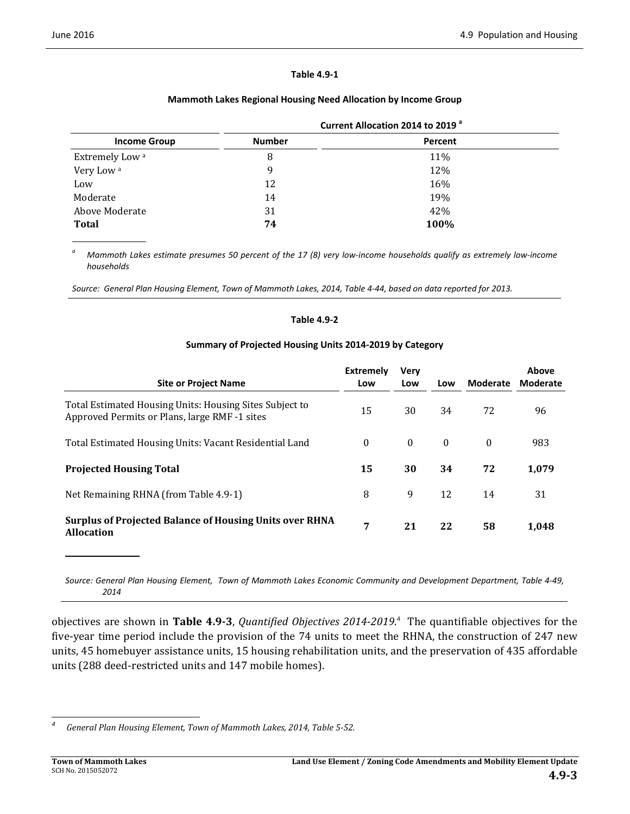#### **Table 4.9‐1**

#### **Mammoth Lakes Regional Housing Need Allocation by Income Group**

|                            | Current Allocation 2014 to 2019 <sup>a</sup> |         |  |  |
|----------------------------|----------------------------------------------|---------|--|--|
| <b>Income Group</b>        | <b>Number</b>                                | Percent |  |  |
| Extremely Low <sup>a</sup> | 8                                            | 11%     |  |  |
| Very Low <sup>a</sup>      | 9                                            | 12%     |  |  |
| Low                        | 12                                           | 16%     |  |  |
| Moderate                   | 14                                           | 19%     |  |  |
| Above Moderate             | 31                                           | 42%     |  |  |
| <b>Total</b>               | 74                                           | 100%    |  |  |

<sup>a</sup> Mammoth Lakes estimate presumes 50 percent of the 17 (8) very low-income households qualify as extremely low-income *households*

Source: General Plan Housing Element, Town of Mammoth Lakes, 2014, Table 4-44, based on data reported for 2013.

#### **Table 4.9‐2**

#### **Summary of Projected Housing Units 2014‐2019 by Category**

| <b>Site or Project Name</b>                                                                              | <b>Extremely</b><br>Low | Very<br>Low | Low      | Moderate | Above<br>Moderate |
|----------------------------------------------------------------------------------------------------------|-------------------------|-------------|----------|----------|-------------------|
| Total Estimated Housing Units: Housing Sites Subject to<br>Approved Permits or Plans, large RMF -1 sites | 15                      | 30          | 34       | 72       | 96                |
| Total Estimated Housing Units: Vacant Residential Land                                                   | $\theta$                | $\theta$    | $\theta$ | $\theta$ | 983               |
| <b>Projected Housing Total</b>                                                                           | 15                      | 30          | 34       | 72       | 1,079             |
| Net Remaining RHNA (from Table 4.9-1)                                                                    | 8                       | 9           | 12       | 14       | 31                |
| <b>Surplus of Projected Balance of Housing Units over RHNA</b><br><b>Allocation</b>                      | 7                       | 21          | 22       | 58       | 1,048             |

Source: General Plan Housing Element, Town of Mammoth Lakes Economic Community and Development Department, Table 4-49, *2014*

**objectives are shown in Table 4.9-3**, *Quantified Objectives* 2014-2019.<sup>4</sup> The quantifiable objectives for the five-year time period include the provision of the 74 units to meet the RHNA, the construction of 247 new units, 45 homebuyer assistance units, 15 housing rehabilitation units, and the preservation of 435 affordable units (288 deed-restricted units and 147 mobile homes).

 *4 General Plan Housing Element, Town of Mammoth Lakes, 2014, Table 5‐52.*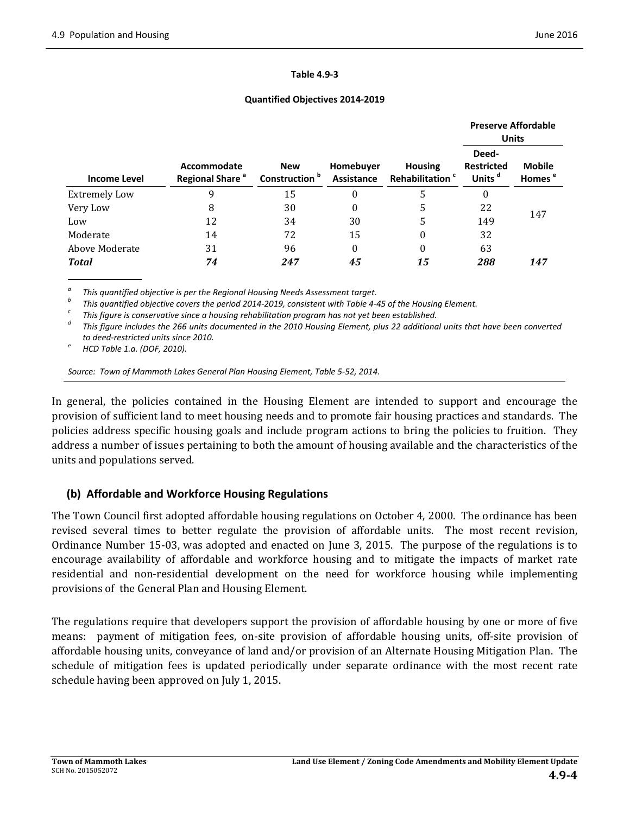#### **Table 4.9‐3**

#### **Quantified Objectives 2014‐2019**

|                      |                                            |                                         |                         |                                                      | <b>Preserve Affordable</b><br><b>Units</b>       |                                     |
|----------------------|--------------------------------------------|-----------------------------------------|-------------------------|------------------------------------------------------|--------------------------------------------------|-------------------------------------|
| <b>Income Level</b>  | Accommodate<br>Regional Share <sup>a</sup> | <b>New</b><br>Construction <sup>b</sup> | Homebuyer<br>Assistance | <b>Housing</b><br><b>Rehabilitation</b> <sup>c</sup> | Deed-<br><b>Restricted</b><br>Units <sup>d</sup> | <b>Mobile</b><br>Homes <sup>e</sup> |
| <b>Extremely Low</b> | 9                                          | 15                                      | 0                       | 5                                                    | 0                                                |                                     |
| Very Low             | 8                                          | 30                                      | 0                       | 5                                                    | 22                                               |                                     |
| Low                  | 12                                         | 34                                      | 30                      | 5                                                    | 149                                              | 147                                 |
| Moderate             | 14                                         | 72                                      | 15                      | 0                                                    | 32                                               |                                     |
| Above Moderate       | 31                                         | 96                                      | 0                       | 0                                                    | 63                                               |                                     |
| <b>Total</b>         | 74                                         | 247                                     | 45                      | 15                                                   | 288                                              | 147                                 |

<sup>a</sup> This quantified objective is per the Regional Housing Needs Assessment target.<br>
<sup>b</sup> This quantified objective covers the period 2014-2019, consistent with Table 4-45 of the Housing Element.<br>
<sup>c</sup> This figure is conserv *to deed‐restricted units since 2010. <sup>e</sup> HCD Table 1.a. (DOF, 2010).*

*Source: Town of Mammoth Lakes General Plan Housing Element, Table 5‐52, 2014.*

In general, the policies contained in the Housing Element are intended to support and encourage the provision of sufficient land to meet housing needs and to promote fair housing practices and standards. The policies address specific housing goals and include program actions to bring the policies to fruition. They address a number of issues pertaining to both the amount of housing available and the characteristics of the units and populations served.

### **(b) Affordable and Workforce Housing Regulations**

The Town Council first adopted affordable housing regulations on October 4, 2000. The ordinance has been revised several times to better regulate the provision of affordable units. The most recent revision, Ordinance Number 15–03, was adopted and enacted on June 3, 2015. The purpose of the regulations is to encourage availability of affordable and workforce housing and to mitigate the impacts of market rate residential and non-residential development on the need for workforce housing while implementing provisions of the General Plan and Housing Element.

The regulations require that developers support the provision of affordable housing by one or more of five means: payment of mitigation fees, on-site provision of affordable housing units, off-site provision of affordable housing units, conveyance of land and/or provision of an Alternate Housing Mitigation Plan. The schedule of mitigation fees is updated periodically under separate ordinance with the most recent rate schedule having been approved on July 1, 2015.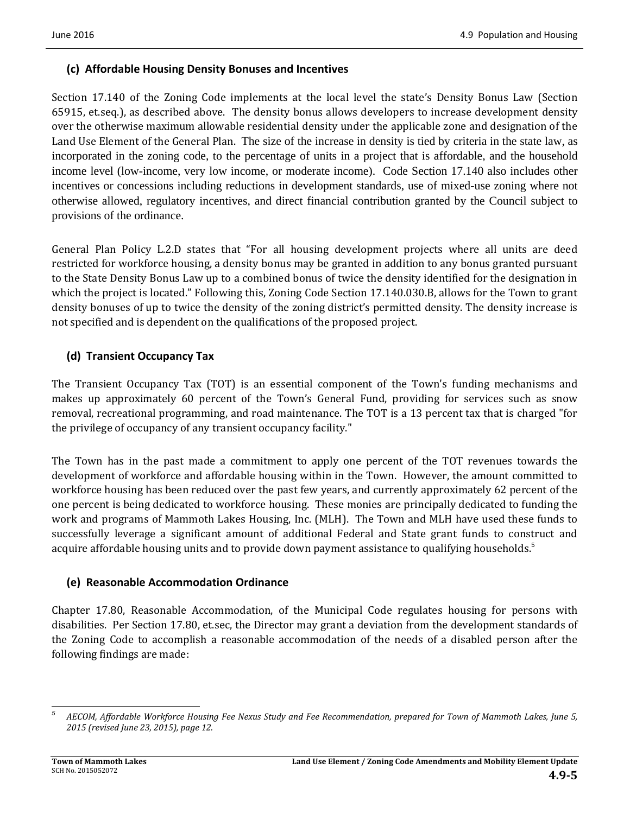#### **(c) Affordable Housing Density Bonuses and Incentives**

Section 17.140 of the Zoning Code implements at the local level the state's Density Bonus Law (Section 65915, et.seq.), as described above. The density bonus allows developers to increase development density over the otherwise maximum allowable residential density under the applicable zone and designation of the Land Use Element of the General Plan. The size of the increase in density is tied by criteria in the state law, as incorporated in the zoning code, to the percentage of units in a project that is affordable, and the household income level (low-income, very low income, or moderate income). Code Section 17.140 also includes other incentives or concessions including reductions in development standards, use of mixed-use zoning where not otherwise allowed, regulatory incentives, and direct financial contribution granted by the Council subject to provisions of the ordinance.

General Plan Policy L.2.D states that "For all housing development projects where all units are deed restricted for workforce housing, a density bonus may be granted in addition to any bonus granted pursuant to the State Density Bonus Law up to a combined bonus of twice the density identified for the designation in which the project is located." Following this, Zoning Code Section 17.140.030.B, allows for the Town to grant density bonuses of up to twice the density of the zoning district's permitted density. The density increase is not specified and is dependent on the qualifications of the proposed project.

### **(d) Transient Occupancy Tax**

The Transient Occupancy Tax (TOT) is an essential component of the Town's funding mechanisms and makes up approximately 60 percent of the Town's General Fund, providing for services such as snow removal, recreational programming, and road maintenance. The TOT is a 13 percent tax that is charged "for the privilege of occupancy of any transient occupancy facility."

The Town has in the past made a commitment to apply one percent of the TOT revenues towards the development of workforce and affordable housing within in the Town. However, the amount committed to workforce housing has been reduced over the past few years, and currently approximately 62 percent of the one percent is being dedicated to workforce housing. These monies are principally dedicated to funding the work and programs of Mammoth Lakes Housing, Inc. (MLH). The Town and MLH have used these funds to successfully leverage a significant amount of additional Federal and State grant funds to construct and acquire affordable housing units and to provide down payment assistance to qualifying households.<sup>5</sup>

#### **(e) Reasonable Accommodation Ordinance**

Chapter 17.80, Reasonable Accommodation, of the Municipal Code regulates housing for persons with disabilities. Per Section 17.80, et.sec, the Director may grant a deviation from the development standards of the Zoning Code to accomplish a reasonable accommodation of the needs of a disabled person after the following findings are made:

 *5* AECOM, Affordable Workforce Housing Fee Nexus Study and Fee Recommendation, prepared for Town of Mammoth Lakes, June 5, *2015 (revised June 23, 2015), page 12.*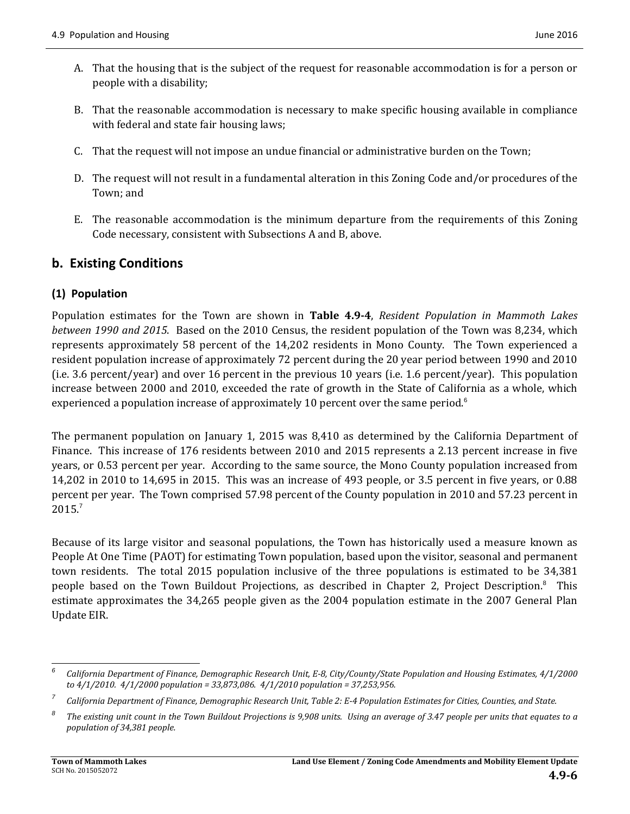- A. That the housing that is the subject of the request for reasonable accommodation is for a person or people with a disability;
- B. That the reasonable accommodation is necessary to make specific housing available in compliance with federal and state fair housing laws;
- C. That the request will not impose an undue financial or administrative burden on the Town;
- D. The request will not result in a fundamental alteration in this Zoning Code and/or procedures of the Town; and
- E. The reasonable accommodation is the minimum departure from the requirements of this Zoning Code necessary, consistent with Subsections A and B, above.

## **b. Existing Conditions**

### **(1) Population**

Population estimates for the Town are shown in **Table 4.9‐4**, *Resident Population in Mammoth Lakes between* 1990 and 2015. Based on the 2010 Census, the resident population of the Town was 8,234, which represents approximately 58 percent of the 14,202 residents in Mono County. The Town experienced a resident population increase of approximately 72 percent during the 20 year period between 1990 and 2010 (i.e. 3.6 percent/year) and over 16 percent in the previous 10 years (i.e. 1.6 percent/year). This population increase between 2000 and 2010, exceeded the rate of growth in the State of California as a whole, which experienced a population increase of approximately 10 percent over the same period.<sup>6</sup>

The permanent population on January 1, 2015 was  $8,410$  as determined by the California Department of Finance. This increase of 176 residents between 2010 and 2015 represents a 2.13 percent increase in five years, or 0.53 percent per year. According to the same source, the Mono County population increased from 14,202 in 2010 to 14,695 in 2015. This was an increase of 493 people, or 3.5 percent in five years, or 0.88 percent per year. The Town comprised 57.98 percent of the County population in 2010 and 57.23 percent in 2015.<sup>7</sup>

Because of its large visitor and seasonal populations, the Town has historically used a measure known as People At One Time (PAOT) for estimating Town population, based upon the visitor, seasonal and permanent town residents. The total 2015 population inclusive of the three populations is estimated to be 34,381 people based on the Town Buildout Projections, as described in Chapter 2, Project Description.<sup>8</sup> This estimate approximates the 34,265 people given as the 2004 population estimate in the 2007 General Plan Update EIR.

 *6* California Department of Finance, Demographic Research Unit, E-8, City/County/State Population and Housing Estimates, 4/1/2000 *to 4/1/2010. 4/1/2000 population = 33,873,086. 4/1/2010 population = 37,253,956.*

*<sup>7</sup>* California Department of Finance, Demographic Research Unit, Table 2: E-4 Population Estimates for Cities, Counties, and State.

*<sup>8</sup>* The existing unit count in the Town Buildout Projections is 9,908 units. Using an average of 3.47 people per units that equates to a *population of 34,381 people.*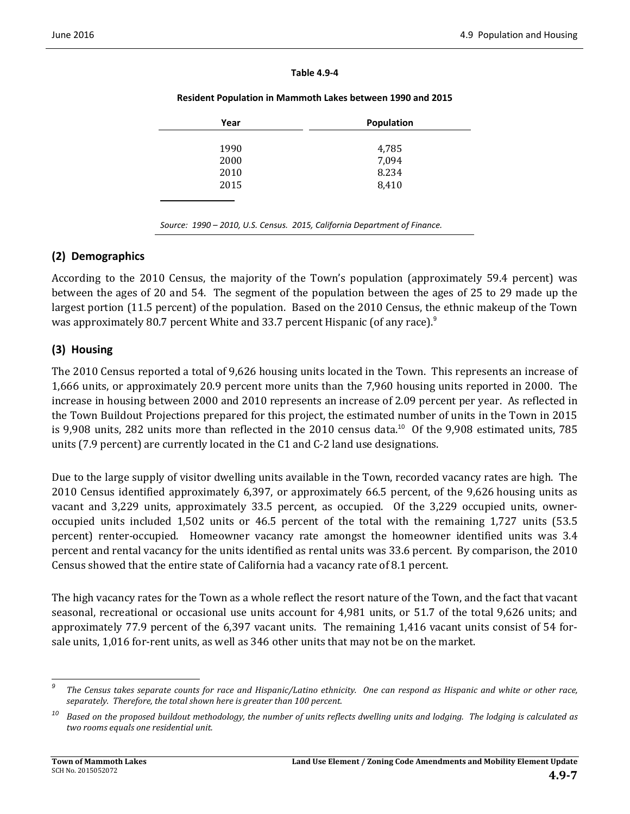|  | <b>Table 4.9-4</b> |
|--|--------------------|
|  |                    |

| Resident Population in Mammoth Lakes between 1990 and 2015 |  |
|------------------------------------------------------------|--|
|------------------------------------------------------------|--|

| Year | <b>Population</b> |
|------|-------------------|
|      |                   |
| 1990 | 4,785             |
| 2000 | 7,094             |
| 2010 | 8.234             |
| 2015 | 8,410             |
|      |                   |
|      |                   |

### **(2) Demographics**

According to the 2010 Census, the majority of the Town's population (approximately 59.4 percent) was between the ages of 20 and 54. The segment of the population between the ages of 25 to 29 made up the largest portion (11.5 percent) of the population. Based on the 2010 Census, the ethnic makeup of the Town was approximately 80.7 percent White and 33.7 percent Hispanic (of any race). $9$ 

*Source: 1990 – 2010, U.S. Census. 2015, California Department of Finance.*

### **(3) Housing**

The 2010 Census reported a total of 9,626 housing units located in the Town. This represents an increase of 1,666 units, or approximately 20.9 percent more units than the 7,960 housing units reported in 2000. The increase in housing between 2000 and 2010 represents an increase of 2.09 percent per year. As reflected in the Town Buildout Projections prepared for this project, the estimated number of units in the Town in 2015 is  $9,908$  units, 282 units more than reflected in the 2010 census data.<sup>10</sup> Of the  $9,908$  estimated units, 785 units (7.9 percent) are currently located in the C1 and C-2 land use designations.

Due to the large supply of visitor dwelling units available in the Town, recorded vacancy rates are high. The 2010 Census identified approximately 6,397, or approximately 66.5 percent, of the 9,626 housing units as vacant and 3,229 units, approximately 33.5 percent, as occupied. Of the 3,229 occupied units, owneroccupied units included 1,502 units or 46.5 percent of the total with the remaining 1,727 units (53.5) percent) renter-occupied. Homeowner vacancy rate amongst the homeowner identified units was 3.4 percent and rental vacancy for the units identified as rental units was 33.6 percent. By comparison, the 2010 Census showed that the entire state of California had a vacancy rate of 8.1 percent.

The high vacancy rates for the Town as a whole reflect the resort nature of the Town, and the fact that vacant seasonal, recreational or occasional use units account for  $4,981$  units, or 51.7 of the total  $9,626$  units; and approximately 77.9 percent of the 6,397 vacant units. The remaining 1,416 vacant units consist of 54 forsale units, 1,016 for-rent units, as well as 346 other units that may not be on the market.

<sup>&</sup>lt;u> 1989 - Johann Stein, fransk politik (d. 1989)</u> *9* The Census takes separate counts for race and Hispanic/Latino ethnicity. One can respond as Hispanic and white or other race, *separately. Therefore, the total shown here is greater than 100 percent.*

 $10$  Based on the proposed buildout methodology, the number of units reflects dwelling units and lodging. The lodging is calculated as *two rooms equals one residential unit.*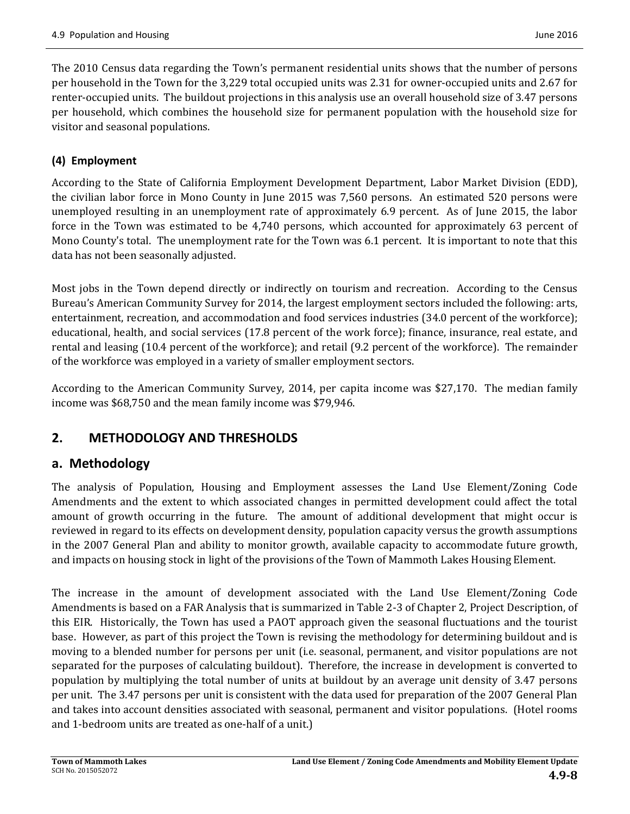The 2010 Census data regarding the Town's permanent residential units shows that the number of persons per household in the Town for the 3,229 total occupied units was 2.31 for owner-occupied units and 2.67 for renter-occupied units. The buildout projections in this analysis use an overall household size of 3.47 persons per household, which combines the household size for permanent population with the household size for visitor and seasonal populations.

### **(4) Employment**

According to the State of California Employment Development Department, Labor Market Division (EDD), the civilian labor force in Mono County in June 2015 was 7,560 persons. An estimated 520 persons were unemployed resulting in an unemployment rate of approximately 6.9 percent. As of June 2015, the labor force in the Town was estimated to be  $4,740$  persons, which accounted for approximately 63 percent of Mono County's total. The unemployment rate for the Town was 6.1 percent. It is important to note that this data has not been seasonally adjusted.

Most jobs in the Town depend directly or indirectly on tourism and recreation. According to the Census Bureau's American Community Survey for 2014, the largest employment sectors included the following: arts, entertainment, recreation, and accommodation and food services industries (34.0 percent of the workforce); educational, health, and social services (17.8 percent of the work force); finance, insurance, real estate, and rental and leasing (10.4 percent of the workforce); and retail (9.2 percent of the workforce). The remainder of the workforce was employed in a variety of smaller employment sectors.

According to the American Community Survey, 2014, per capita income was \$27,170. The median family income was \$68,750 and the mean family income was \$79,946.

# **2. METHODOLOGY AND THRESHOLDS**

### **a. Methodology**

The analysis of Population, Housing and Employment assesses the Land Use Element/Zoning Code Amendments and the extent to which associated changes in permitted development could affect the total amount of growth occurring in the future. The amount of additional development that might occur is reviewed in regard to its effects on development density, population capacity versus the growth assumptions in the 2007 General Plan and ability to monitor growth, available capacity to accommodate future growth, and impacts on housing stock in light of the provisions of the Town of Mammoth Lakes Housing Element.

The increase in the amount of development associated with the Land Use Element/Zoning Code Amendments is based on a FAR Analysis that is summarized in Table 2-3 of Chapter 2, Project Description, of this EIR. Historically, the Town has used a PAOT approach given the seasonal fluctuations and the tourist base. However, as part of this project the Town is revising the methodology for determining buildout and is moving to a blended number for persons per unit (i.e. seasonal, permanent, and visitor populations are not separated for the purposes of calculating buildout). Therefore, the increase in development is converted to population by multiplying the total number of units at buildout by an average unit density of 3.47 persons per unit. The 3.47 persons per unit is consistent with the data used for preparation of the 2007 General Plan and takes into account densities associated with seasonal, permanent and visitor populations. (Hotel rooms and 1-bedroom units are treated as one-half of a unit.)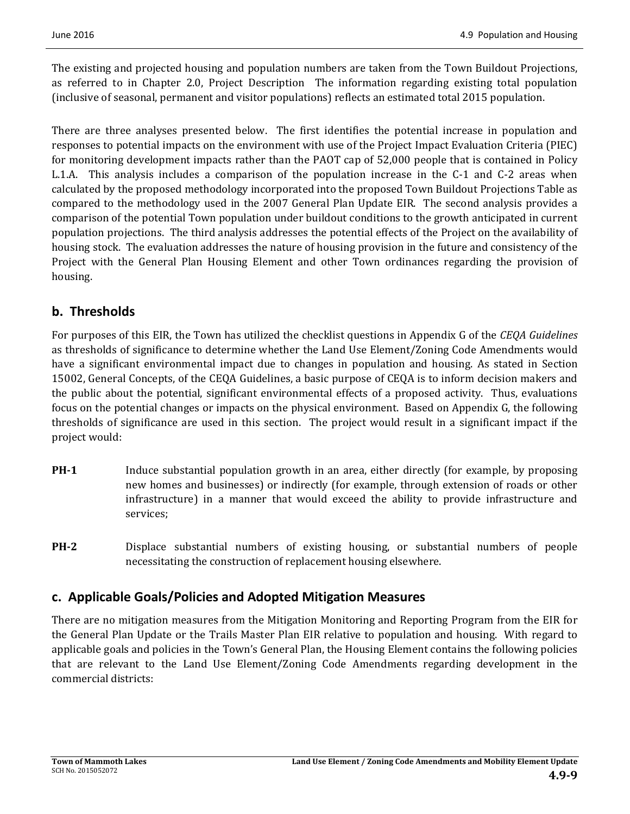The existing and projected housing and population numbers are taken from the Town Buildout Projections, as referred to in Chapter 2.0, Project Description The information regarding existing total population (inclusive of seasonal, permanent and visitor populations) reflects an estimated total 2015 population.

There are three analyses presented below. The first identifies the potential increase in population and responses to potential impacts on the environment with use of the Project Impact Evaluation Criteria (PIEC) for monitoring development impacts rather than the PAOT cap of 52,000 people that is contained in Policy L.1.A. This analysis includes a comparison of the population increase in the C-1 and C-2 areas when calculated by the proposed methodology incorporated into the proposed Town Buildout Projections Table as compared to the methodology used in the 2007 General Plan Update EIR. The second analysis provides a comparison of the potential Town population under buildout conditions to the growth anticipated in current population projections. The third analysis addresses the potential effects of the Project on the availability of housing stock. The evaluation addresses the nature of housing provision in the future and consistency of the Project with the General Plan Housing Element and other Town ordinances regarding the provision of housing. 

# **b. Thresholds**

For purposes of this EIR, the Town has utilized the checklist questions in Appendix G of the *CEOA Guidelines* as thresholds of significance to determine whether the Land Use Element/Zoning Code Amendments would have a significant environmental impact due to changes in population and housing. As stated in Section 15002, General Concepts, of the CEQA Guidelines, a basic purpose of CEQA is to inform decision makers and the public about the potential, significant environmental effects of a proposed activity. Thus, evaluations focus on the potential changes or impacts on the physical environment. Based on Appendix G, the following thresholds of significance are used in this section. The project would result in a significant impact if the project would:

- **PH-1** Induce substantial population growth in an area, either directly (for example, by proposing new homes and businesses) or indirectly (for example, through extension of roads or other infrastructure) in a manner that would exceed the ability to provide infrastructure and services;
- **PH-2** Displace substantial numbers of existing housing, or substantial numbers of people necessitating the construction of replacement housing elsewhere.

# **c. Applicable Goals/Policies and Adopted Mitigation Measures**

There are no mitigation measures from the Mitigation Monitoring and Reporting Program from the EIR for the General Plan Update or the Trails Master Plan EIR relative to population and housing. With regard to applicable goals and policies in the Town's General Plan, the Housing Element contains the following policies that are relevant to the Land Use Element/Zoning Code Amendments regarding development in the commercial districts: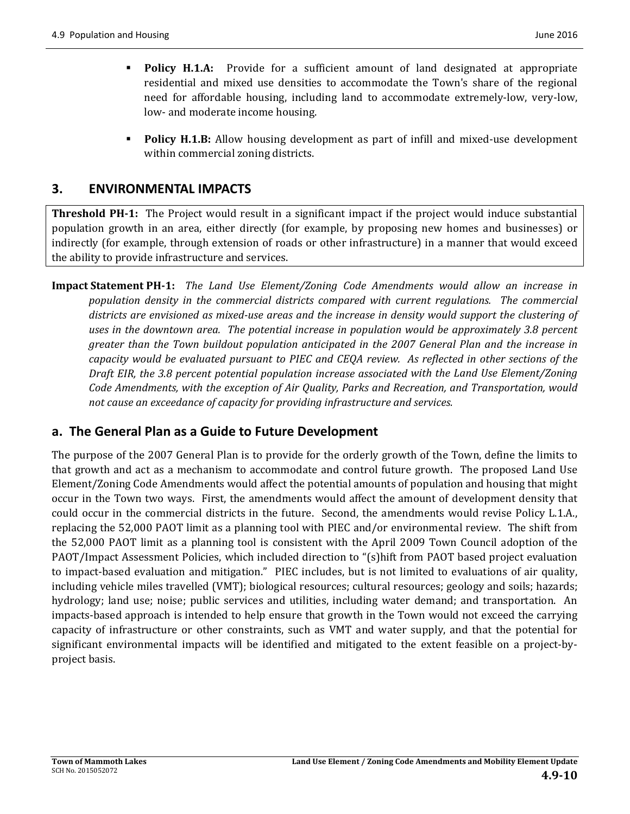- **Policy H.1.A:** Provide for a sufficient amount of land designated at appropriate residential and mixed use densities to accommodate the Town's share of the regional need for affordable housing, including land to accommodate extremely-low, very-low, low- and moderate income housing.
- **Policy H.1.B:** Allow housing development as part of infill and mixed-use development within commercial zoning districts.

# **3. ENVIRONMENTAL IMPACTS**

**Threshold PH-1:** The Project would result in a significant impact if the project would induce substantial population growth in an area, either directly (for example, by proposing new homes and businesses) or indirectly (for example, through extension of roads or other infrastructure) in a manner that would exceed the ability to provide infrastructure and services.

**Impact Statement PH‐1:** *The Land Use Element/Zoning Code Amendments would allow an increase in population density in the commercial districts compared with current regulations. The commercial* districts are envisioned as mixed-use areas and the increase in density would support the clustering of *uses in the downtown area. The potential increase in population would be approximately 3.8 percent greater than the Town buildout population anticipated in the 2007 General Plan and the increase in* capacity would be evaluated pursuant to PIEC and CEQA review. As reflected in other sections of the *Draft EIR, the 3.8 percent potential population increase associated with the Land Use Element/Zoning Code Amendments, with the exception of Air Quality, Parks and Recreation, and Transportation, would not cause an exceedance of capacity for providing infrastructure and services.* 

# **a. The General Plan as a Guide to Future Development**

The purpose of the 2007 General Plan is to provide for the orderly growth of the Town, define the limits to that growth and act as a mechanism to accommodate and control future growth. The proposed Land Use Element/Zoning Code Amendments would affect the potential amounts of population and housing that might occur in the Town two ways. First, the amendments would affect the amount of development density that could occur in the commercial districts in the future. Second, the amendments would revise Policy L.1.A., replacing the 52,000 PAOT limit as a planning tool with PIEC and/or environmental review. The shift from the 52,000 PAOT limit as a planning tool is consistent with the April 2009 Town Council adoption of the PAOT/Impact Assessment Policies, which included direction to "(s)hift from PAOT based project evaluation to impact-based evaluation and mitigation." PIEC includes, but is not limited to evaluations of air quality, including vehicle miles travelled (VMT); biological resources; cultural resources; geology and soils; hazards; hydrology; land use; noise; public services and utilities, including water demand; and transportation. An impacts-based approach is intended to help ensure that growth in the Town would not exceed the carrying capacity of infrastructure or other constraints, such as VMT and water supply, and that the potential for significant environmental impacts will be identified and mitigated to the extent feasible on a project-byproject basis.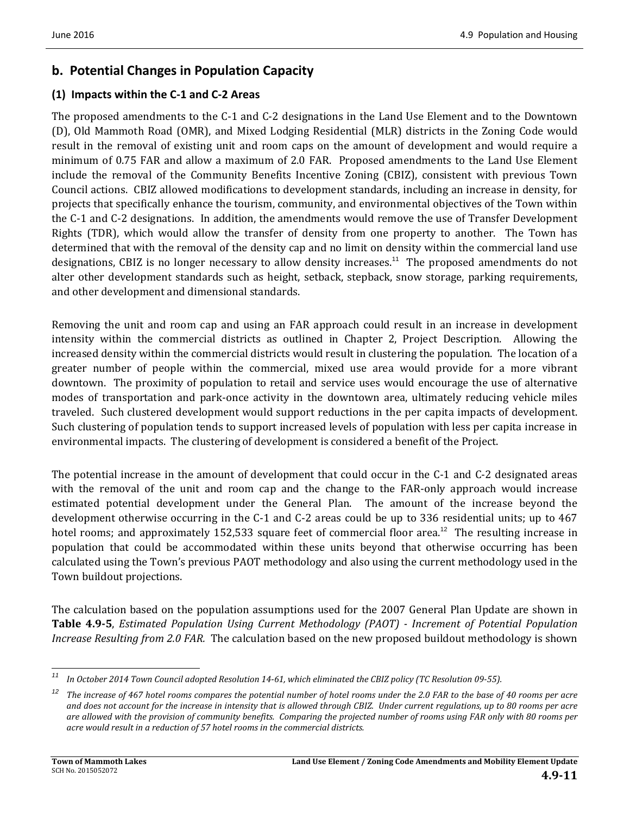# **b. Potential Changes in Population Capacity**

#### **(1) Impacts within the C‐1 and C‐2 Areas**

The proposed amendments to the C-1 and C-2 designations in the Land Use Element and to the Downtown (D), Old Mammoth Road (OMR), and Mixed Lodging Residential (MLR) districts in the Zoning Code would result in the removal of existing unit and room caps on the amount of development and would require a minimum of 0.75 FAR and allow a maximum of 2.0 FAR. Proposed amendments to the Land Use Element include the removal of the Community Benefits Incentive Zoning (CBIZ), consistent with previous Town Council actions. CBIZ allowed modifications to development standards, including an increase in density, for projects that specifically enhance the tourism, community, and environmental objectives of the Town within the C-1 and C-2 designations. In addition, the amendments would remove the use of Transfer Development Rights (TDR), which would allow the transfer of density from one property to another. The Town has determined that with the removal of the density cap and no limit on density within the commercial land use designations, CBIZ is no longer necessary to allow density increases.<sup>11</sup> The proposed amendments do not alter other development standards such as height, setback, stepback, snow storage, parking requirements, and other development and dimensional standards.

Removing the unit and room cap and using an FAR approach could result in an increase in development intensity within the commercial districts as outlined in Chapter 2, Project Description. Allowing the increased density within the commercial districts would result in clustering the population. The location of a greater number of people within the commercial, mixed use area would provide for a more vibrant downtown. The proximity of population to retail and service uses would encourage the use of alternative modes of transportation and park-once activity in the downtown area, ultimately reducing vehicle miles traveled. Such clustered development would support reductions in the per capita impacts of development. Such clustering of population tends to support increased levels of population with less per capita increase in environmental impacts. The clustering of development is considered a benefit of the Project.

The potential increase in the amount of development that could occur in the  $C-1$  and  $C-2$  designated areas with the removal of the unit and room cap and the change to the FAR-only approach would increase estimated potential development under the General Plan. The amount of the increase beyond the development otherwise occurring in the C-1 and C-2 areas could be up to 336 residential units; up to 467 hotel rooms; and approximately 152,533 square feet of commercial floor area.<sup>12</sup> The resulting increase in population that could be accommodated within these units beyond that otherwise occurring has been calculated using the Town's previous PAOT methodology and also using the current methodology used in the Town buildout projections.

The calculation based on the population assumptions used for the 2007 General Plan Update are shown in **Table 4.9‐5**, *Estimated Population Using Current Methodology (PAOT) ‐ Increment of Potential Population Increase Resulting from 2.0 FAR.* The calculation based on the new proposed buildout methodology is shown

<sup>&</sup>lt;u> 1989 - Johann Stein, fransk politik (d. 1989)</u> <sup>11</sup> In October 2014 Town Council adopted Resolution 14-61, which eliminated the CBIZ policy (TC Resolution 09-55).

 $12$  The increase of 467 hotel rooms compares the potential number of hotel rooms under the 2.0 FAR to the base of 40 rooms per acre and does not account for the increase in intensity that is allowed through CBIZ. Under current regulations, up to 80 rooms per acre are allowed with the provision of community benefits. Comparing the projected number of rooms using FAR only with 80 rooms per *acre would result in a reduction of 57 hotel rooms in the commercial districts.*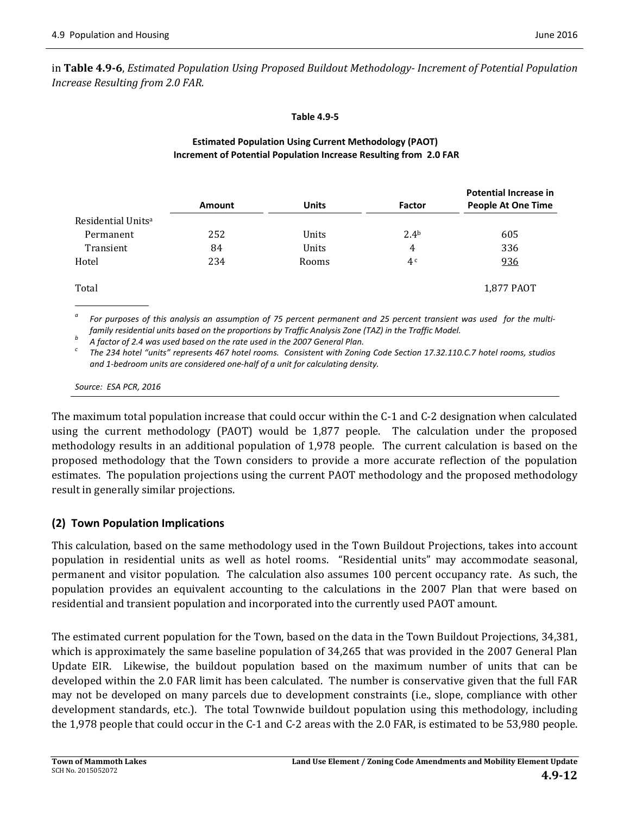in **Table 4.9‐6**, *Estimated Population Using Proposed Buildout Methodology‐ Increment of Potential Population Increase Resulting from 2.0 FAR.* 

**Table 4.9‐5**

#### **Estimated Population Using Current Methodology (PAOT) Increment of Potential Population Increase Resulting from 2.0 FAR**

|                                | <b>Amount</b> | <b>Units</b> | Factor           | <b>Potential Increase in</b><br><b>People At One Time</b> |
|--------------------------------|---------------|--------------|------------------|-----------------------------------------------------------|
| Residential Units <sup>a</sup> |               |              |                  |                                                           |
| Permanent                      | 252           | <b>Units</b> | 2.4 <sup>b</sup> | 605                                                       |
| Transient                      | 84            | Units        | 4                | 336                                                       |
| Hotel                          | 234           | Rooms        | 4c               | <u>936</u>                                                |
| Total                          |               |              |                  | 1,877 PAOT                                                |

<sup>a</sup> For purposes of this analysis an assumption of 75 percent permanent and 25 percent transient was used for the multifamily residential units based on the proportions by Traffic Analysis Zone (TAZ) in the Traffic Model.<br><sup>b</sup> A factor of 2.4 was used based on the rate used in the 2007 General Plan.<br><sup>c</sup> The 234 hotel "units" represents 467

*and 1‐bedroom units are considered one‐half of a unit for calculating density.* 

*Source: ESA PCR, 2016*

The maximum total population increase that could occur within the  $C-1$  and  $C-2$  designation when calculated using the current methodology (PAOT) would be  $1,877$  people. The calculation under the proposed methodology results in an additional population of 1,978 people. The current calculation is based on the proposed methodology that the Town considers to provide a more accurate reflection of the population estimates. The population projections using the current PAOT methodology and the proposed methodology result in generally similar projections.

### **(2) Town Population Implications**

This calculation, based on the same methodology used in the Town Buildout Projections, takes into account population in residential units as well as hotel rooms. "Residential units" may accommodate seasonal, permanent and visitor population. The calculation also assumes 100 percent occupancy rate. As such, the population provides an equivalent accounting to the calculations in the 2007 Plan that were based on residential and transient population and incorporated into the currently used PAOT amount.

The estimated current population for the Town, based on the data in the Town Buildout Projections, 34,381, which is approximately the same baseline population of 34,265 that was provided in the 2007 General Plan Update EIR. Likewise, the buildout population based on the maximum number of units that can be developed within the 2.0 FAR limit has been calculated. The number is conservative given that the full FAR may not be developed on many parcels due to development constraints (i.e., slope, compliance with other development standards, etc.). The total Townwide buildout population using this methodology, including the  $1,978$  people that could occur in the C-1 and C-2 areas with the 2.0 FAR, is estimated to be 53,980 people.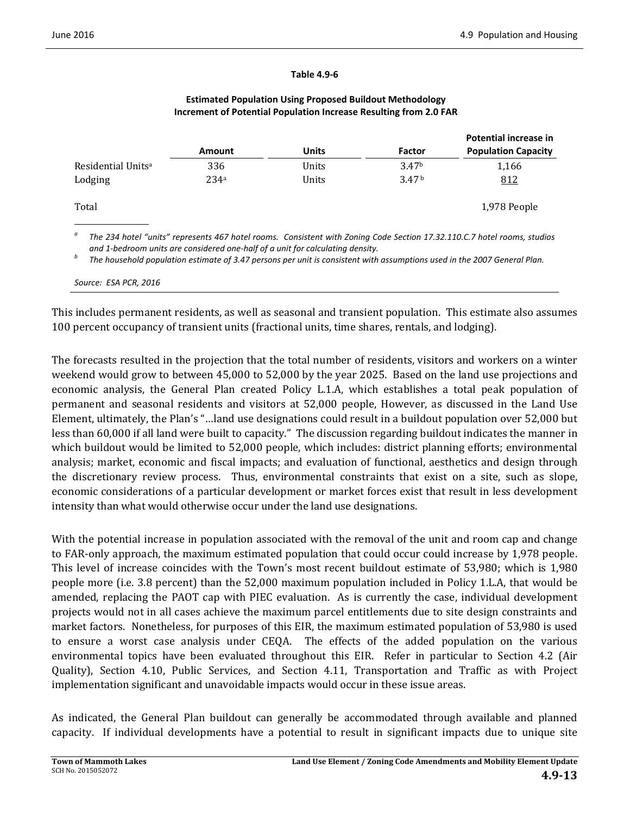|                                |               |       |                   | Potential increase in      |
|--------------------------------|---------------|-------|-------------------|----------------------------|
|                                | <b>Amount</b> | Units | Factor            | <b>Population Capacity</b> |
| Residential Units <sup>a</sup> | 336           | Units | 3.47 <sup>b</sup> | 1,166                      |
| Lodging                        | 234a          | Units | 3.47 <sup>b</sup> | 812                        |
| Total                          |               |       |                   | 1,978 People               |

#### **Estimated Population Using Proposed Buildout Methodology Increment of Potential Population Increase Resulting from 2.0 FAR**

**Table 4.9‐6**

 $^{\circ}$  The 234 hotel "units" represents 467 hotel rooms. Consistent with Zoning Code Section 17.32.110.C.7 hotel rooms, studios and 1-bedroom units are considered one-half of a unit for calculating density.<br>The household population estimate of 3.47 persons per unit is consistent with assumptions used in the 2007 General Plan.

*Source: ESA PCR, 2016*

This includes permanent residents, as well as seasonal and transient population. This estimate also assumes 100 percent occupancy of transient units (fractional units, time shares, rentals, and lodging).

The forecasts resulted in the projection that the total number of residents, visitors and workers on a winter weekend would grow to between 45,000 to 52,000 by the year 2025. Based on the land use projections and economic analysis, the General Plan created Policy L.1.A, which establishes a total peak population of permanent and seasonal residents and visitors at 52,000 people, However, as discussed in the Land Use Element, ultimately, the Plan's "...land use designations could result in a buildout population over 52,000 but less than 60,000 if all land were built to capacity." The discussion regarding buildout indicates the manner in which buildout would be limited to 52,000 people, which includes: district planning efforts; environmental analysis; market, economic and fiscal impacts; and evaluation of functional, aesthetics and design through the discretionary review process. Thus, environmental constraints that exist on a site, such as slope, economic considerations of a particular development or market forces exist that result in less development intensity than what would otherwise occur under the land use designations.

With the potential increase in population associated with the removal of the unit and room cap and change to FAR-only approach, the maximum estimated population that could occur could increase by 1,978 people. This level of increase coincides with the Town's most recent buildout estimate of 53,980; which is 1,980 people more (i.e. 3.8 percent) than the 52,000 maximum population included in Policy 1.L.A, that would be amended, replacing the PAOT cap with PIEC evaluation. As is currently the case, individual development projects would not in all cases achieve the maximum parcel entitlements due to site design constraints and market factors. Nonetheless, for purposes of this EIR, the maximum estimated population of 53,980 is used to ensure a worst case analysis under CEQA. The effects of the added population on the various environmental topics have been evaluated throughout this EIR. Refer in particular to Section 4.2 (Air Quality), Section 4.10, Public Services, and Section 4.11, Transportation and Traffic as with Project implementation significant and unavoidable impacts would occur in these issue areas.

As indicated, the General Plan buildout can generally be accommodated through available and planned capacity. If individual developments have a potential to result in significant impacts due to unique site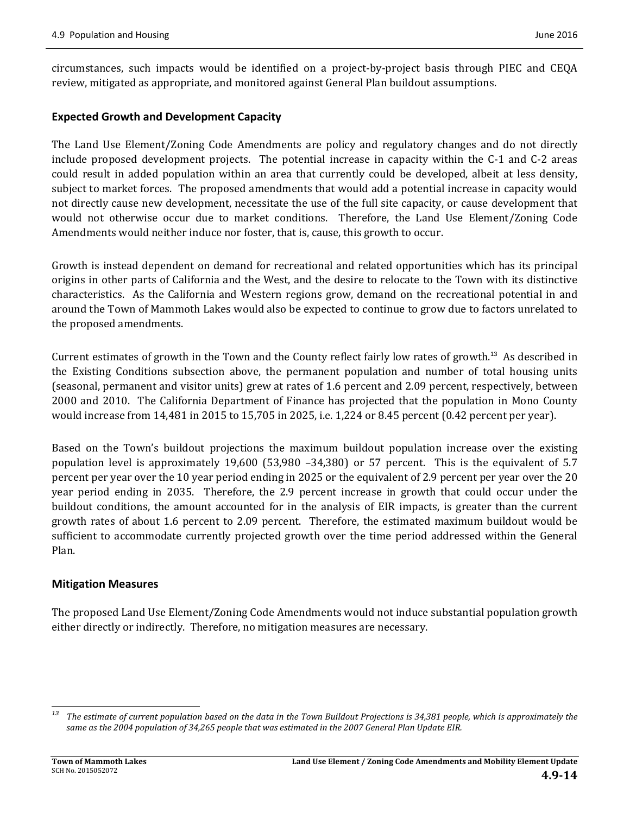circumstances, such impacts would be identified on a project‐by‐project basis through PIEC and CEQA review, mitigated as appropriate, and monitored against General Plan buildout assumptions.

#### **Expected Growth and Development Capacity**

The Land Use Element/Zoning Code Amendments are policy and regulatory changes and do not directly include proposed development projects. The potential increase in capacity within the  $C-1$  and  $C-2$  areas could result in added population within an area that currently could be developed, albeit at less density, subject to market forces. The proposed amendments that would add a potential increase in capacity would not directly cause new development, necessitate the use of the full site capacity, or cause development that would not otherwise occur due to market conditions. Therefore, the Land Use Element/Zoning Code Amendments would neither induce nor foster, that is, cause, this growth to occur.

Growth is instead dependent on demand for recreational and related opportunities which has its principal origins in other parts of California and the West, and the desire to relocate to the Town with its distinctive characteristics. As the California and Western regions grow, demand on the recreational potential in and around the Town of Mammoth Lakes would also be expected to continue to grow due to factors unrelated to the proposed amendments.

Current estimates of growth in the Town and the County reflect fairly low rates of growth.<sup>13</sup> As described in the Existing Conditions subsection above, the permanent population and number of total housing units (seasonal, permanent and visitor units) grew at rates of 1.6 percent and 2.09 percent, respectively, between 2000 and 2010. The California Department of Finance has projected that the population in Mono County would increase from 14,481 in 2015 to 15,705 in 2025, i.e. 1,224 or 8.45 percent  $(0.42$  percent per year).

Based on the Town's buildout projections the maximum buildout population increase over the existing population level is approximately  $19,600$  (53,980 -34,380) or 57 percent. This is the equivalent of 5.7 percent per year over the 10 year period ending in 2025 or the equivalent of 2.9 percent per year over the 20 year period ending in 2035. Therefore, the 2.9 percent increase in growth that could occur under the buildout conditions, the amount accounted for in the analysis of EIR impacts, is greater than the current growth rates of about 1.6 percent to 2.09 percent. Therefore, the estimated maximum buildout would be sufficient to accommodate currently projected growth over the time period addressed within the General Plan. 

#### **Mitigation Measures**

The proposed Land Use Element/Zoning Code Amendments would not induce substantial population growth either directly or indirectly. Therefore, no mitigation measures are necessary.

 

<sup>&</sup>lt;sup>13</sup> The estimate of current population based on the data in the Town Buildout Projections is 34,381 people, which is approximately the same as the 2004 population of 34,265 people that was estimated in the 2007 General Plan Update EIR.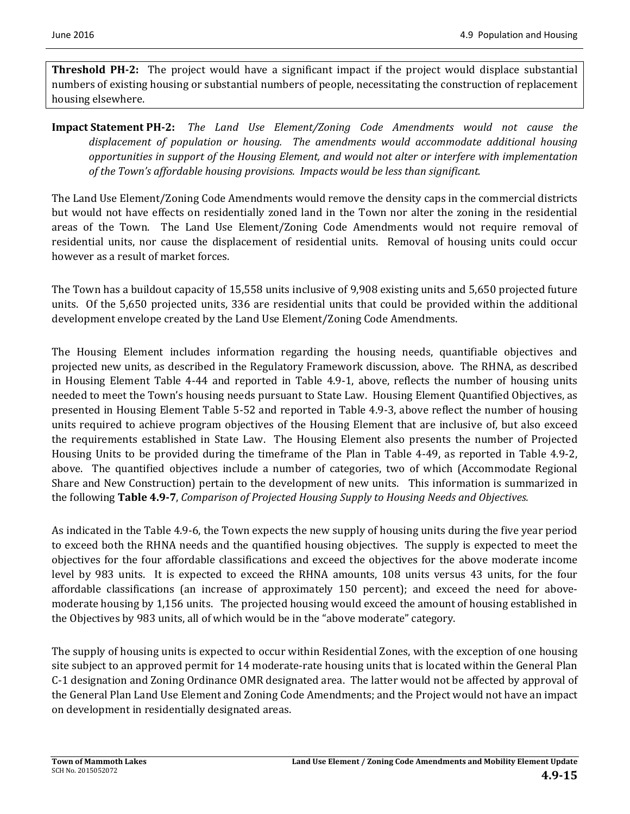**Threshold PH-2:** The project would have a significant impact if the project would displace substantial numbers of existing housing or substantial numbers of people, necessitating the construction of replacement housing elsewhere.

**Impact Statement PH‐2:** *The Land Use Element/Zoning Code Amendments would not cause the displacement of population or housing. The amendments would accommodate additional housing opportunities in support of the Housing Element, and would not alter or interfere with implementation of the Town's affordable housing provisions. Impacts would be less than significant.* 

The Land Use Element/Zoning Code Amendments would remove the density caps in the commercial districts but would not have effects on residentially zoned land in the Town nor alter the zoning in the residential areas of the Town. The Land Use Element/Zoning Code Amendments would not require removal of residential units, nor cause the displacement of residential units. Removal of housing units could occur however as a result of market forces.

The Town has a buildout capacity of 15,558 units inclusive of 9,908 existing units and 5,650 projected future units. Of the 5,650 projected units, 336 are residential units that could be provided within the additional development envelope created by the Land Use Element/Zoning Code Amendments.

The Housing Element includes information regarding the housing needs, quantifiable objectives and projected new units, as described in the Regulatory Framework discussion, above. The RHNA, as described in Housing Element Table 4-44 and reported in Table 4.9-1, above, reflects the number of housing units needed to meet the Town's housing needs pursuant to State Law. Housing Element Quantified Objectives, as presented in Housing Element Table 5-52 and reported in Table 4.9-3, above reflect the number of housing units required to achieve program objectives of the Housing Element that are inclusive of, but also exceed the requirements established in State Law. The Housing Element also presents the number of Projected Housing Units to be provided during the timeframe of the Plan in Table 4-49, as reported in Table 4.9-2, above. The quantified objectives include a number of categories, two of which (Accommodate Regional Share and New Construction) pertain to the development of new units. This information is summarized in the following Table 4.9-7, Comparison of Projected Housing Supply to Housing Needs and Objectives.

As indicated in the Table 4.9-6, the Town expects the new supply of housing units during the five year period to exceed both the RHNA needs and the quantified housing objectives. The supply is expected to meet the objectives for the four affordable classifications and exceed the objectives for the above moderate income level by 983 units. It is expected to exceed the RHNA amounts, 108 units versus 43 units, for the four affordable classifications (an increase of approximately 150 percent); and exceed the need for abovemoderate housing by 1,156 units. The projected housing would exceed the amount of housing established in the Objectives by 983 units, all of which would be in the "above moderate" category.

The supply of housing units is expected to occur within Residential Zones, with the exception of one housing site subject to an approved permit for 14 moderate-rate housing units that is located within the General Plan C-1 designation and Zoning Ordinance OMR designated area. The latter would not be affected by approval of the General Plan Land Use Element and Zoning Code Amendments; and the Project would not have an impact on development in residentially designated areas.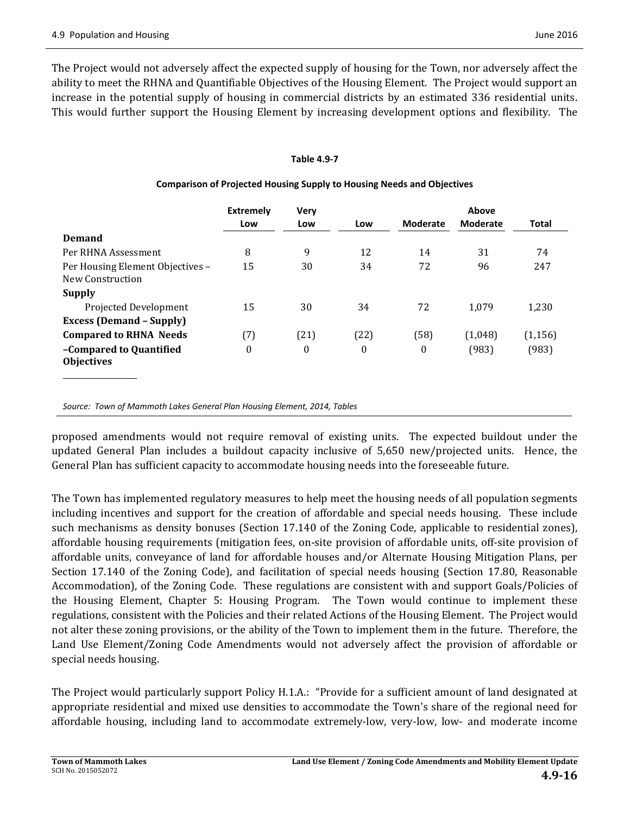The Project would not adversely affect the expected supply of housing for the Town, nor adversely affect the ability to meet the RHNA and Quantifiable Objectives of the Housing Element. The Project would support an increase in the potential supply of housing in commercial districts by an estimated 336 residential units. This would further support the Housing Element by increasing development options and flexibility. The

#### **Table 4.9‐7**

|                                                      | <b>Extremely</b> | <b>Very</b>  |                  |                  | Above           |              |
|------------------------------------------------------|------------------|--------------|------------------|------------------|-----------------|--------------|
|                                                      | Low              | Low          | Low              | <b>Moderate</b>  | <b>Moderate</b> | <b>Total</b> |
| <b>Demand</b>                                        |                  |              |                  |                  |                 |              |
| Per RHNA Assessment                                  | 8                | 9            | 12               | 14               | 31              | 74           |
| Per Housing Element Objectives -<br>New Construction | 15               | 30           | 34               | 72               | 96              | 247          |
| <b>Supply</b>                                        |                  |              |                  |                  |                 |              |
| Projected Development                                | 15               | 30           | 34               | 72               | 1.079           | 1,230        |
| <b>Excess (Demand - Supply)</b>                      |                  |              |                  |                  |                 |              |
| <b>Compared to RHNA Needs</b>                        | (7)              | (21)         | (22)             | (58)             | (1,048)         | (1, 156)     |
| -Compared to Quantified<br><b>Objectives</b>         | $\theta$         | $\mathbf{0}$ | $\boldsymbol{0}$ | $\boldsymbol{0}$ | (983)           | (983)        |

#### **Comparison of Projected Housing Supply to Housing Needs and Objectives**

*Source: Town of Mammoth Lakes General Plan Housing Element, 2014, Tables*

proposed amendments would not require removal of existing units. The expected buildout under the updated General Plan includes a buildout capacity inclusive of 5,650 new/projected units. Hence, the General Plan has sufficient capacity to accommodate housing needs into the foreseeable future.

The Town has implemented regulatory measures to help meet the housing needs of all population segments including incentives and support for the creation of affordable and special needs housing. These include such mechanisms as density bonuses (Section 17.140 of the Zoning Code, applicable to residential zones), affordable housing requirements (mitigation fees, on-site provision of affordable units, off-site provision of affordable units, conveyance of land for affordable houses and/or Alternate Housing Mitigation Plans, per Section 17.140 of the Zoning Code), and facilitation of special needs housing (Section 17.80, Reasonable Accommodation), of the Zoning Code. These regulations are consistent with and support Goals/Policies of the Housing Element, Chapter 5: Housing Program. The Town would continue to implement these regulations, consistent with the Policies and their related Actions of the Housing Element. The Project would not alter these zoning provisions, or the ability of the Town to implement them in the future. Therefore, the Land Use Element/Zoning Code Amendments would not adversely affect the provision of affordable or special needs housing.

The Project would particularly support Policy H.1.A.: "Provide for a sufficient amount of land designated at appropriate residential and mixed use densities to accommodate the Town's share of the regional need for affordable housing, including land to accommodate extremely-low, very-low, low- and moderate income